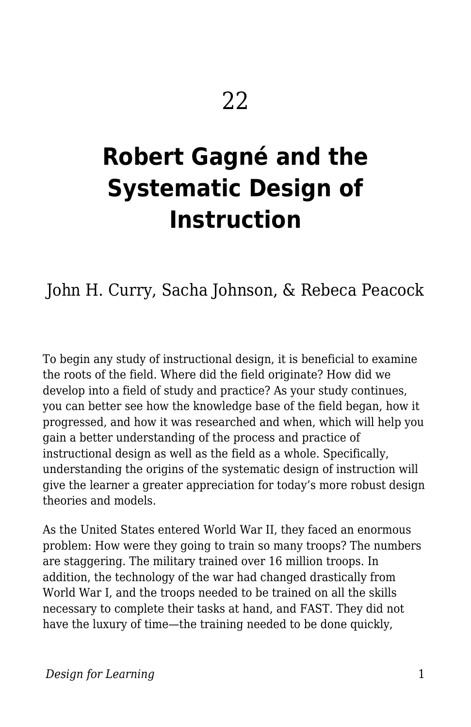# **Robert Gagné and the Systematic Design of Instruction**

## John H. Curry, Sacha Johnson, & Rebeca Peacock

To begin any study of instructional design, it is beneficial to examine the roots of the field. Where did the field originate? How did we develop into a field of study and practice? As your study continues, you can better see how the knowledge base of the field began, how it progressed, and how it was researched and when, which will help you gain a better understanding of the process and practice of instructional design as well as the field as a whole. Specifically, understanding the origins of the systematic design of instruction will give the learner a greater appreciation for today's more robust design theories and models.

As the United States entered World War II, they faced an enormous problem: How were they going to train so many troops? The numbers are staggering. The military trained over 16 million troops. In addition, the technology of the war had changed drastically from World War I, and the troops needed to be trained on all the skills necessary to complete their tasks at hand, and FAST. They did not have the luxury of time—the training needed to be done quickly,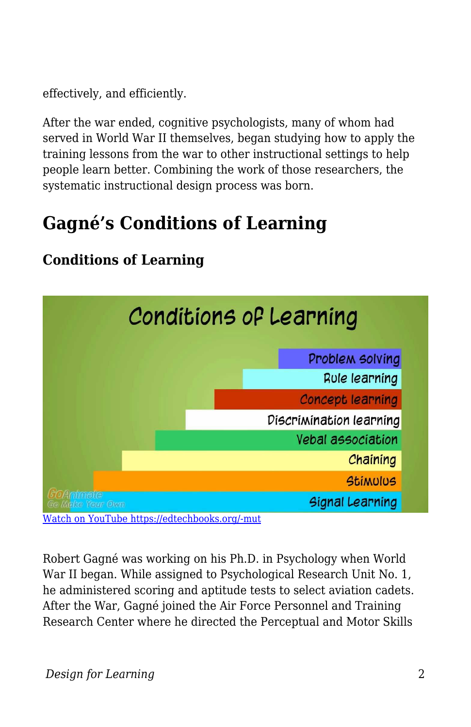effectively, and efficiently.

After the war ended, cognitive psychologists, many of whom had served in World War II themselves, began studying how to apply the training lessons from the war to other instructional settings to help people learn better. Combining the work of those researchers, the systematic instructional design process was born.

# **Gagné's Conditions of Learning**



#### **Conditions of Learning**

Robert Gagné was working on his Ph.D. in Psychology when World War II began. While assigned to Psychological Research Unit No. 1, he administered scoring and aptitude tests to select aviation cadets. After the War, Gagné joined the Air Force Personnel and Training Research Center where he directed the Perceptual and Motor Skills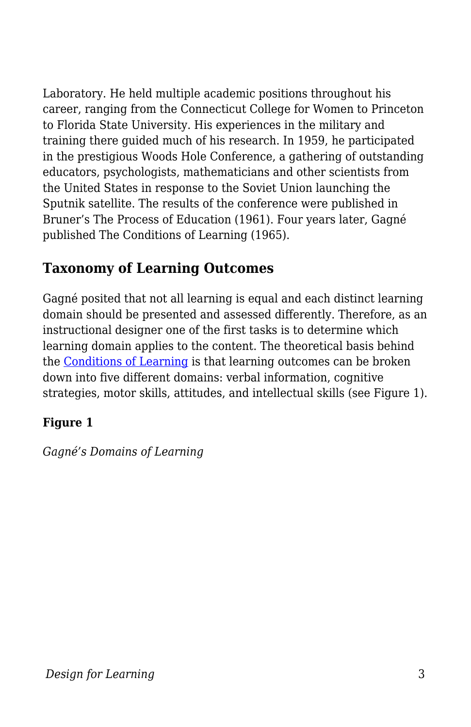Laboratory. He held multiple academic positions throughout his career, ranging from the Connecticut College for Women to Princeton to Florida State University. His experiences in the military and training there guided much of his research. In 1959, he participated in the prestigious Woods Hole Conference, a gathering of outstanding educators, psychologists, mathematicians and other scientists from the United States in response to the Soviet Union launching the Sputnik satellite. The results of the conference were published in Bruner's The Process of Education (1961). Four years later, Gagné published The Conditions of Learning (1965).

#### **Taxonomy of Learning Outcomes**

Gagné posited that not all learning is equal and each distinct learning domain should be presented and assessed differently. Therefore, as an instructional designer one of the first tasks is to determine which learning domain applies to the content. The theoretical basis behind the [Conditions of Learning](https://youtu.be/FgDcUnObLqI) is that learning outcomes can be broken down into five different domains: verbal information, cognitive strategies, motor skills, attitudes, and intellectual skills (see Figure 1).

#### **Figure 1**

*Gagné's Domains of Learning*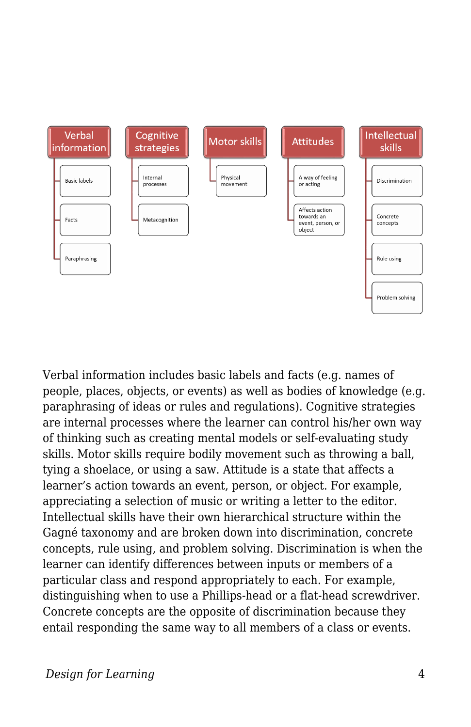

Verbal information includes basic labels and facts (e.g. names of people, places, objects, or events) as well as bodies of knowledge (e.g. paraphrasing of ideas or rules and regulations). Cognitive strategies are internal processes where the learner can control his/her own way of thinking such as creating mental models or self-evaluating study skills. Motor skills require bodily movement such as throwing a ball, tying a shoelace, or using a saw. Attitude is a state that affects a learner's action towards an event, person, or object. For example, appreciating a selection of music or writing a letter to the editor. Intellectual skills have their own hierarchical structure within the Gagné taxonomy and are broken down into discrimination, concrete concepts, rule using, and problem solving. Discrimination is when the learner can identify differences between inputs or members of a particular class and respond appropriately to each. For example, distinguishing when to use a Phillips-head or a flat-head screwdriver. Concrete concepts are the opposite of discrimination because they entail responding the same way to all members of a class or events.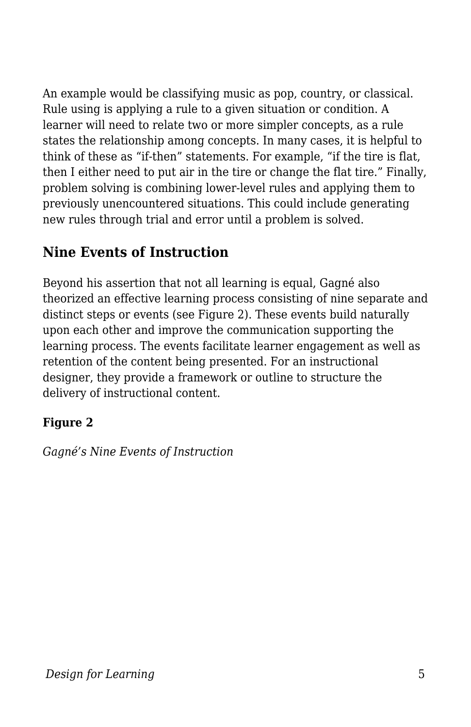An example would be classifying music as pop, country, or classical. Rule using is applying a rule to a given situation or condition. A learner will need to relate two or more simpler concepts, as a rule states the relationship among concepts. In many cases, it is helpful to think of these as "if-then" statements. For example, "if the tire is flat, then I either need to put air in the tire or change the flat tire." Finally, problem solving is combining lower-level rules and applying them to previously unencountered situations. This could include generating new rules through trial and error until a problem is solved.

#### **Nine Events of Instruction**

Beyond his assertion that not all learning is equal, Gagné also theorized an effective learning process consisting of nine separate and distinct steps or events (see Figure 2). These events build naturally upon each other and improve the communication supporting the learning process. The events facilitate learner engagement as well as retention of the content being presented. For an instructional designer, they provide a framework or outline to structure the delivery of instructional content.

#### **Figure 2**

*Gagné's Nine Events of Instruction*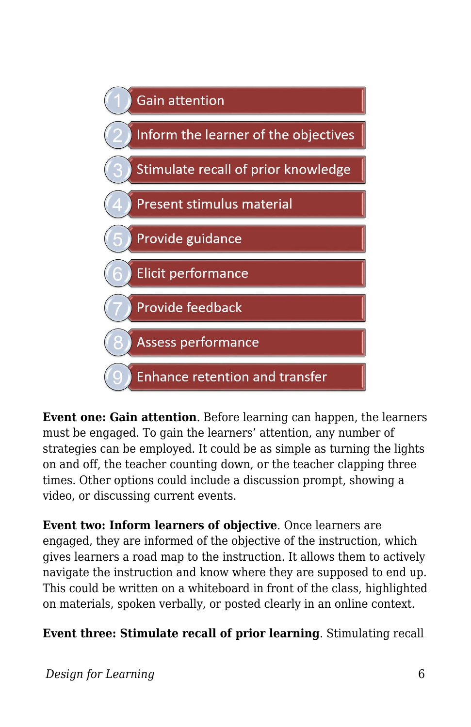

**Event one: Gain attention**. Before learning can happen, the learners must be engaged. To gain the learners' attention, any number of strategies can be employed. It could be as simple as turning the lights on and off, the teacher counting down, or the teacher clapping three times. Other options could include a discussion prompt, showing a video, or discussing current events.

**Event two: Inform learners of objective**. Once learners are engaged, they are informed of the objective of the instruction, which gives learners a road map to the instruction. It allows them to actively navigate the instruction and know where they are supposed to end up. This could be written on a whiteboard in front of the class, highlighted on materials, spoken verbally, or posted clearly in an online context.

**Event three: Stimulate recall of prior learning**. Stimulating recall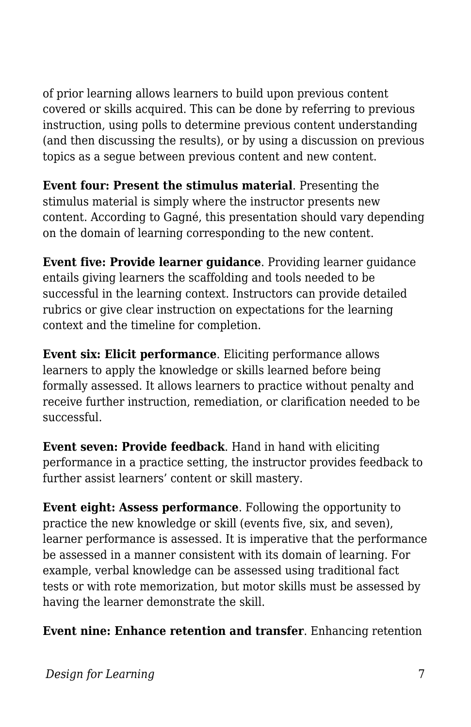of prior learning allows learners to build upon previous content covered or skills acquired. This can be done by referring to previous instruction, using polls to determine previous content understanding (and then discussing the results), or by using a discussion on previous topics as a segue between previous content and new content.

**Event four: Present the stimulus material**. Presenting the stimulus material is simply where the instructor presents new content. According to Gagné, this presentation should vary depending on the domain of learning corresponding to the new content.

**Event five: Provide learner guidance**. Providing learner guidance entails giving learners the scaffolding and tools needed to be successful in the learning context. Instructors can provide detailed rubrics or give clear instruction on expectations for the learning context and the timeline for completion.

**Event six: Elicit performance**. Eliciting performance allows learners to apply the knowledge or skills learned before being formally assessed. It allows learners to practice without penalty and receive further instruction, remediation, or clarification needed to be successful.

**Event seven: Provide feedback**. Hand in hand with eliciting performance in a practice setting, the instructor provides feedback to further assist learners' content or skill mastery.

**Event eight: Assess performance**. Following the opportunity to practice the new knowledge or skill (events five, six, and seven), learner performance is assessed. It is imperative that the performance be assessed in a manner consistent with its domain of learning. For example, verbal knowledge can be assessed using traditional fact tests or with rote memorization, but motor skills must be assessed by having the learner demonstrate the skill.

**Event nine: Enhance retention and transfer**. Enhancing retention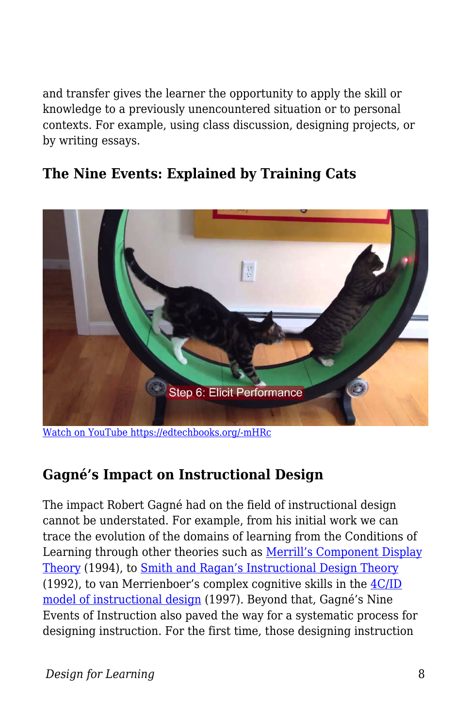and transfer gives the learner the opportunity to apply the skill or knowledge to a previously unencountered situation or to personal contexts. For example, using class discussion, designing projects, or by writing essays.

#### **The Nine Events: Explained by Training Cats**



[Watch on YouTube https://edtechbooks.org/-mHRc](https://www.youtube.com/embed/8-cmd0lGqro?autoplay=1&rel=0&showinfo=0&modestbranding=1)

#### **Gagné's Impact on Instructional Design**

The impact Robert Gagné had on the field of instructional design cannot be understated. For example, from his initial work we can trace the evolution of the domains of learning from the Conditions of Learning through other theories such as [Merrill's Component Display](https://mdavidmerrill.wordpress.com/publications/Component%20Display%20Theory/) [Theory](https://mdavidmerrill.wordpress.com/publications/Component%20Display%20Theory/) (1994), to [Smith and Ragan's Instructional Design Theory](https://www.calvin.edu/~dsc8/documents/ID-Process.pdf) (1992), to van Merrienboer's complex cognitive skills in the [4C/ID](https://www.4cid.org/about-4cid) [model of instructional design](https://www.4cid.org/about-4cid) (1997). Beyond that, Gagné's Nine Events of Instruction also paved the way for a systematic process for designing instruction. For the first time, those designing instruction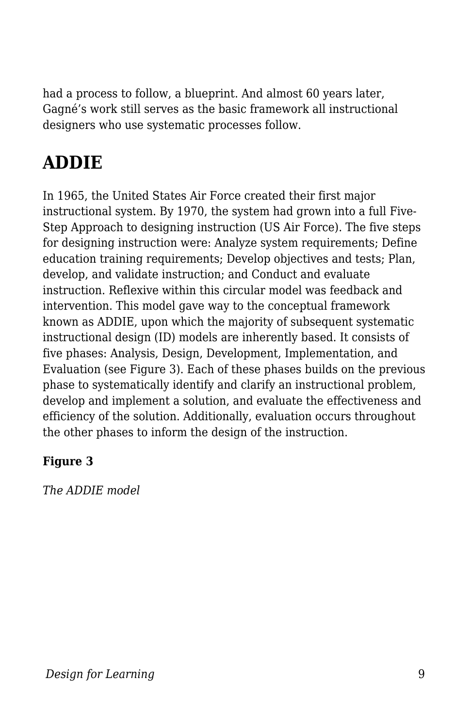had a process to follow, a blueprint. And almost 60 years later, Gagné's work still serves as the basic framework all instructional designers who use systematic processes follow.

# **ADDIE**

In 1965, the United States Air Force created their first major instructional system. By 1970, the system had grown into a full Five-Step Approach to designing instruction (US Air Force). The five steps for designing instruction were: Analyze system requirements; Define education training requirements; Develop objectives and tests; Plan, develop, and validate instruction; and Conduct and evaluate instruction. Reflexive within this circular model was feedback and intervention. This model gave way to the conceptual framework known as ADDIE, upon which the majority of subsequent systematic instructional design (ID) models are inherently based. It consists of five phases: Analysis, Design, Development, Implementation, and Evaluation (see Figure 3). Each of these phases builds on the previous phase to systematically identify and clarify an instructional problem, develop and implement a solution, and evaluate the effectiveness and efficiency of the solution. Additionally, evaluation occurs throughout the other phases to inform the design of the instruction.

#### **Figure 3**

*The ADDIE model*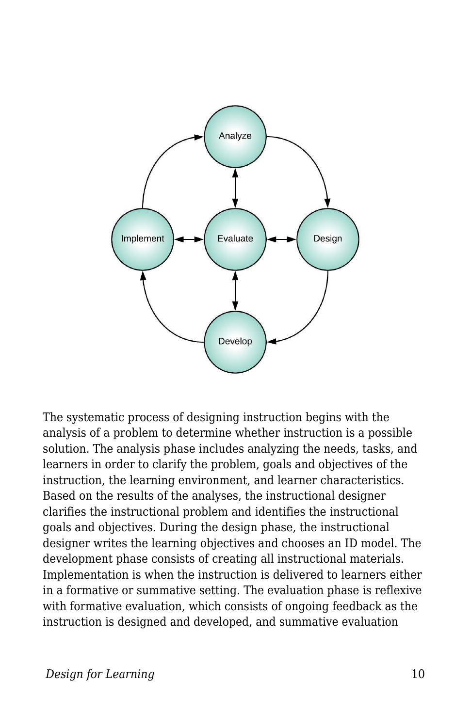

The systematic process of designing instruction begins with the analysis of a problem to determine whether instruction is a possible solution. The analysis phase includes analyzing the needs, tasks, and learners in order to clarify the problem, goals and objectives of the instruction, the learning environment, and learner characteristics. Based on the results of the analyses, the instructional designer clarifies the instructional problem and identifies the instructional goals and objectives. During the design phase, the instructional designer writes the learning objectives and chooses an ID model. The development phase consists of creating all instructional materials. Implementation is when the instruction is delivered to learners either in a formative or summative setting. The evaluation phase is reflexive with formative evaluation, which consists of ongoing feedback as the instruction is designed and developed, and summative evaluation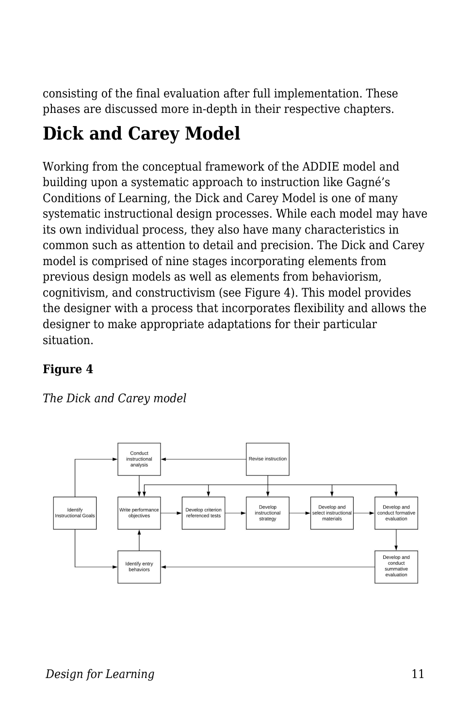consisting of the final evaluation after full implementation. These phases are discussed more in-depth in their respective chapters.

# **Dick and Carey Model**

Working from the conceptual framework of the ADDIE model and building upon a systematic approach to instruction like Gagné's Conditions of Learning, the Dick and Carey Model is one of many systematic instructional design processes. While each model may have its own individual process, they also have many characteristics in common such as attention to detail and precision. The Dick and Carey model is comprised of nine stages incorporating elements from previous design models as well as elements from behaviorism, cognitivism, and constructivism (see Figure 4). This model provides the designer with a process that incorporates flexibility and allows the designer to make appropriate adaptations for their particular situation.

#### **Figure 4**



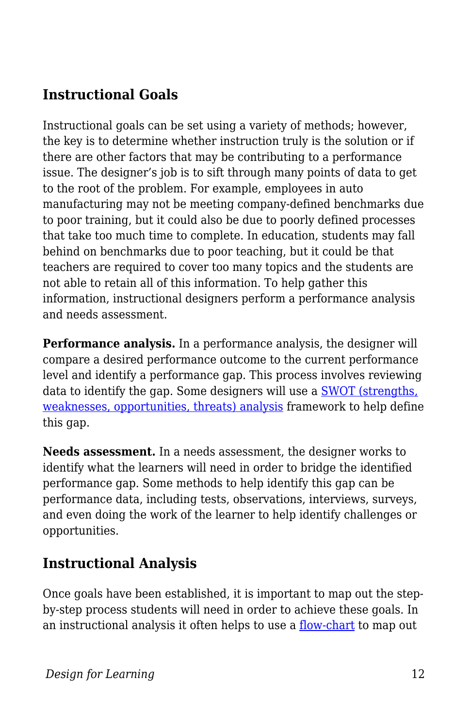### **Instructional Goals**

Instructional goals can be set using a variety of methods; however, the key is to determine whether instruction truly is the solution or if there are other factors that may be contributing to a performance issue. The designer's job is to sift through many points of data to get to the root of the problem. For example, employees in auto manufacturing may not be meeting company-defined benchmarks due to poor training, but it could also be due to poorly defined processes that take too much time to complete. In education, students may fall behind on benchmarks due to poor teaching, but it could be that teachers are required to cover too many topics and the students are not able to retain all of this information. To help gather this information, instructional designers perform a performance analysis and needs assessment.

**Performance analysis.** In a performance analysis, the designer will compare a desired performance outcome to the current performance level and identify a performance gap. This process involves reviewing data to identify the gap. Some designers will use a [SWOT \(strengths,](https://ctb.ku.edu/en/table-of-contents/assessment/assessing-community-needs-and-resources/swot-analysis/main) [weaknesses, opportunities, threats\) analysis](https://ctb.ku.edu/en/table-of-contents/assessment/assessing-community-needs-and-resources/swot-analysis/main) framework to help define this gap.

**Needs assessment.** In a needs assessment, the designer works to identify what the learners will need in order to bridge the identified performance gap. Some methods to help identify this gap can be performance data, including tests, observations, interviews, surveys, and even doing the work of the learner to help identify challenges or opportunities.

#### **Instructional Analysis**

Once goals have been established, it is important to map out the stepby-step process students will need in order to achieve these goals. In an instructional analysis it often helps to use a <u>[flow-chart](https://youtu.be/iJmcgQRk048)</u> to map out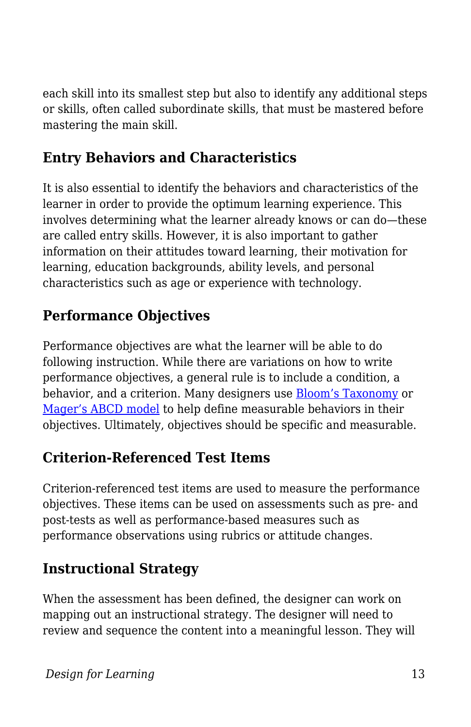each skill into its smallest step but also to identify any additional steps or skills, often called subordinate skills, that must be mastered before mastering the main skill.

#### **Entry Behaviors and Characteristics**

It is also essential to identify the behaviors and characteristics of the learner in order to provide the optimum learning experience. This involves determining what the learner already knows or can do—these are called entry skills. However, it is also important to gather information on their attitudes toward learning, their motivation for learning, education backgrounds, ability levels, and personal characteristics such as age or experience with technology.

### **Performance Objectives**

Performance objectives are what the learner will be able to do following instruction. While there are variations on how to write performance objectives, a general rule is to include a condition, a behavior, and a criterion. Many designers use [Bloom's Taxonomy](https://cft.vanderbilt.edu/guides-sub-pages/blooms-taxonomy/) or [Mager's ABCD model](https://youtu.be/6b9ahqnC8Xc) to help define measurable behaviors in their objectives. Ultimately, objectives should be specific and measurable.

### **Criterion-Referenced Test Items**

Criterion-referenced test items are used to measure the performance objectives. These items can be used on assessments such as pre- and post-tests as well as performance-based measures such as performance observations using rubrics or attitude changes.

### **Instructional Strategy**

When the assessment has been defined, the designer can work on mapping out an instructional strategy. The designer will need to review and sequence the content into a meaningful lesson. They will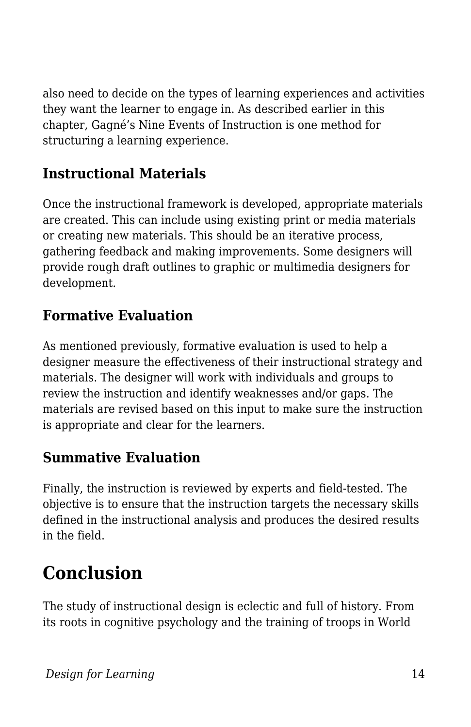also need to decide on the types of learning experiences and activities they want the learner to engage in. As described earlier in this chapter, Gagné's Nine Events of Instruction is one method for structuring a learning experience.

### **Instructional Materials**

Once the instructional framework is developed, appropriate materials are created. This can include using existing print or media materials or creating new materials. This should be an iterative process, gathering feedback and making improvements. Some designers will provide rough draft outlines to graphic or multimedia designers for development.

### **Formative Evaluation**

As mentioned previously, formative evaluation is used to help a designer measure the effectiveness of their instructional strategy and materials. The designer will work with individuals and groups to review the instruction and identify weaknesses and/or gaps. The materials are revised based on this input to make sure the instruction is appropriate and clear for the learners.

### **Summative Evaluation**

Finally, the instruction is reviewed by experts and field-tested. The objective is to ensure that the instruction targets the necessary skills defined in the instructional analysis and produces the desired results in the field.

# **Conclusion**

The study of instructional design is eclectic and full of history. From its roots in cognitive psychology and the training of troops in World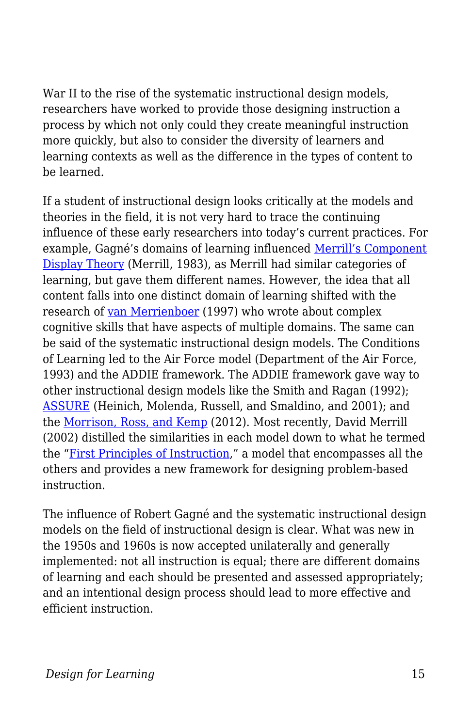War II to the rise of the systematic instructional design models, researchers have worked to provide those designing instruction a process by which not only could they create meaningful instruction more quickly, but also to consider the diversity of learners and learning contexts as well as the difference in the types of content to be learned.

If a student of instructional design looks critically at the models and theories in the field, it is not very hard to trace the continuing influence of these early researchers into today's current practices. For example, Gagné's domains of learning influenced [Merrill's Component](https://mdavidmerrill.wordpress.com/publications/Component%20Display%20Theory/) [Display Theory](https://mdavidmerrill.wordpress.com/publications/Component%20Display%20Theory/) (Merrill, 1983), as Merrill had similar categories of learning, but gave them different names. However, the idea that all content falls into one distinct domain of learning shifted with the research of [van Merrienboer](https://www.4cid.org/about-4cid) (1997) who wrote about complex cognitive skills that have aspects of multiple domains. The same can be said of the systematic instructional design models. The Conditions of Learning led to the Air Force model (Department of the Air Force, 1993) and the ADDIE framework. The ADDIE framework gave way to other instructional design models like the Smith and Ragan (1992); [ASSURE](https://educationaltechnology.net/assure-instructional-design-model/) (Heinich, Molenda, Russell, and Smaldino, and 2001); and the [Morrison, Ross, and Kemp](https://educationaltechnology.net/kemp-design-model/) (2012). Most recently, David Merrill (2002) distilled the similarities in each model down to what he termed the ["First Principles of Instruction](https://www.youtube.com/watch?v=OReU2n1RyqY)," a model that encompasses all the others and provides a new framework for designing problem-based instruction.

The influence of Robert Gagné and the systematic instructional design models on the field of instructional design is clear. What was new in the 1950s and 1960s is now accepted unilaterally and generally implemented: not all instruction is equal; there are different domains of learning and each should be presented and assessed appropriately; and an intentional design process should lead to more effective and efficient instruction.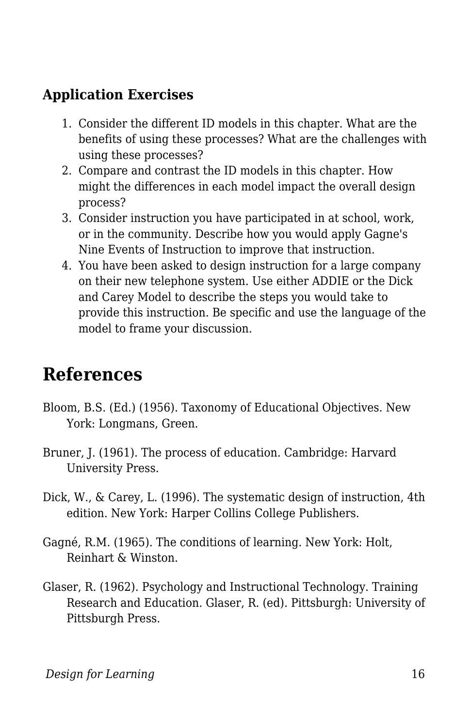#### **Application Exercises**

- 1. Consider the different ID models in this chapter. What are the benefits of using these processes? What are the challenges with using these processes?
- 2. Compare and contrast the ID models in this chapter. How might the differences in each model impact the overall design process?
- 3. Consider instruction you have participated in at school, work, or in the community. Describe how you would apply Gagne's Nine Events of Instruction to improve that instruction.
- 4. You have been asked to design instruction for a large company on their new telephone system. Use either ADDIE or the Dick and Carey Model to describe the steps you would take to provide this instruction. Be specific and use the language of the model to frame your discussion.

# **References**

- Bloom, B.S. (Ed.) (1956). Taxonomy of Educational Objectives. New York: Longmans, Green.
- Bruner, J. (1961). The process of education. Cambridge: Harvard University Press.
- Dick, W., & Carey, L. (1996). The systematic design of instruction, 4th edition. New York: Harper Collins College Publishers.
- Gagné, R.M. (1965). The conditions of learning. New York: Holt, Reinhart & Winston.
- Glaser, R. (1962). Psychology and Instructional Technology. Training Research and Education. Glaser, R. (ed). Pittsburgh: University of Pittsburgh Press.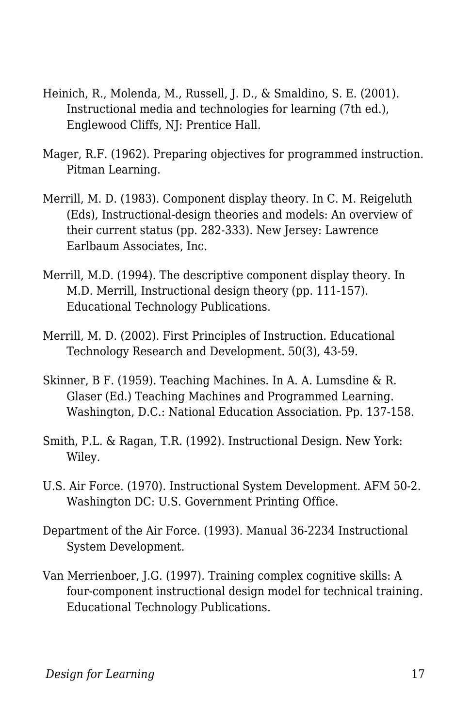- Heinich, R., Molenda, M., Russell, J. D., & Smaldino, S. E. (2001). Instructional media and technologies for learning (7th ed.), Englewood Cliffs, NJ: Prentice Hall.
- Mager, R.F. (1962). Preparing objectives for programmed instruction. Pitman Learning.
- Merrill, M. D. (1983). Component display theory. In C. M. Reigeluth (Eds), Instructional-design theories and models: An overview of their current status (pp. 282-333). New Jersey: Lawrence Earlbaum Associates, Inc.
- Merrill, M.D. (1994). The descriptive component display theory. In M.D. Merrill, Instructional design theory (pp. 111-157). Educational Technology Publications.
- Merrill, M. D. (2002). First Principles of Instruction. Educational Technology Research and Development. 50(3), 43-59.
- Skinner, B F. (1959). Teaching Machines. In A. A. Lumsdine & R. Glaser (Ed.) Teaching Machines and Programmed Learning. Washington, D.C.: National Education Association. Pp. 137-158.
- Smith, P.L. & Ragan, T.R. (1992). Instructional Design. New York: Wiley.
- U.S. Air Force. (1970). Instructional System Development. AFM 50-2. Washington DC: U.S. Government Printing Office.
- Department of the Air Force. (1993). Manual 36-2234 Instructional System Development.
- Van Merrienboer, J.G. (1997). Training complex cognitive skills: A four-component instructional design model for technical training. Educational Technology Publications.